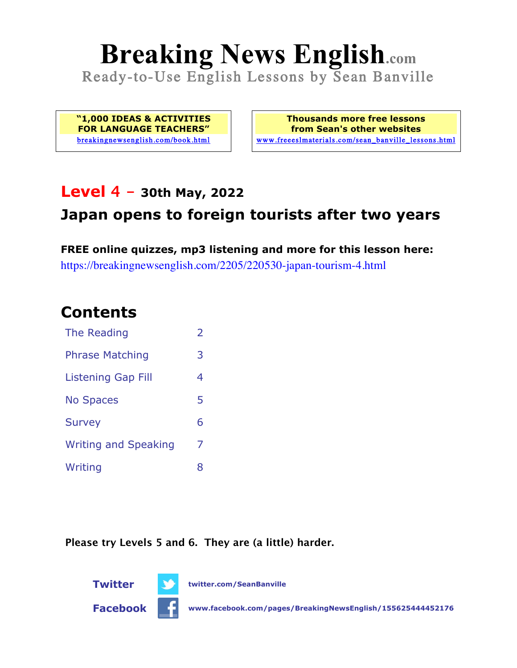# **Breaking News English.com**

Ready-to-Use English Lessons by Sean Banville

**"1,000 IDEAS & ACTIVITIES FOR LANGUAGE TEACHERS"** breakingnewsenglish.com/book.html

**Thousands more free lessons from Sean's other websites** www.freeeslmaterials.com/sean\_banville\_lessons.html

### **Level 4 - 30th May, 2022**

### **Japan opens to foreign tourists after two years**

**FREE online quizzes, mp3 listening and more for this lesson here:** https://breakingnewsenglish.com/2205/220530-japan-tourism-4.html

### **Contents**

| The Reading                 | $\overline{\phantom{a}}$ |
|-----------------------------|--------------------------|
| <b>Phrase Matching</b>      | 3                        |
| <b>Listening Gap Fill</b>   | 4                        |
| <b>No Spaces</b>            | 5                        |
| <b>Survey</b>               | 6                        |
| <b>Writing and Speaking</b> | 7                        |
| Writing                     | 8                        |

**Please try Levels 5 and 6. They are (a little) harder.**



**Facebook www.facebook.com/pages/BreakingNewsEnglish/155625444452176**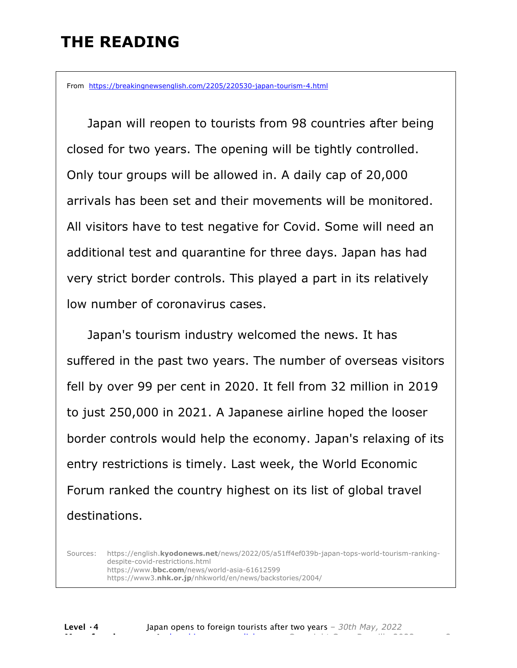### **THE READING**

From https://breakingnewsenglish.com/2205/220530-japan-tourism-4.html

 Japan will reopen to tourists from 98 countries after being closed for two years. The opening will be tightly controlled. Only tour groups will be allowed in. A daily cap of 20,000 arrivals has been set and their movements will be monitored. All visitors have to test negative for Covid. Some will need an additional test and quarantine for three days. Japan has had very strict border controls. This played a part in its relatively low number of coronavirus cases.

 Japan's tourism industry welcomed the news. It has suffered in the past two years. The number of overseas visitors fell by over 99 per cent in 2020. It fell from 32 million in 2019 to just 250,000 in 2021. A Japanese airline hoped the looser border controls would help the economy. Japan's relaxing of its entry restrictions is timely. Last week, the World Economic Forum ranked the country highest on its list of global travel destinations.

Sources: https://english.**kyodonews.net**/news/2022/05/a51ff4ef039b-japan-tops-world-tourism-rankingdespite-covid-restrictions.html https://www.**bbc.com**/news/world-asia-61612599 https://www3.**nhk.or.jp**/nhkworld/en/news/backstories/2004/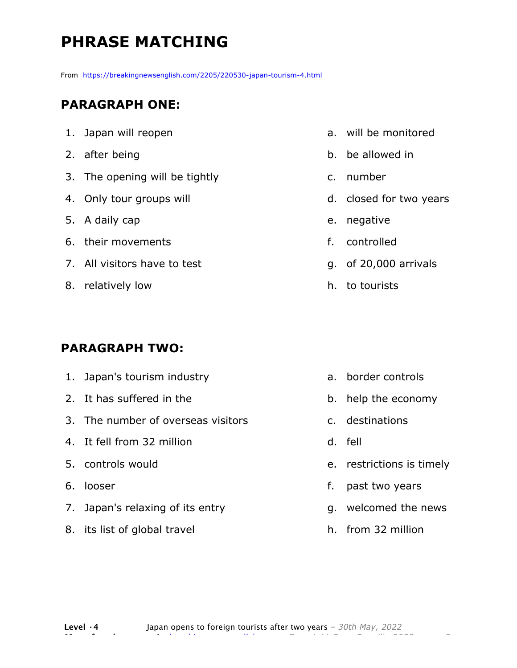# **PHRASE MATCHING**

From https://breakingnewsenglish.com/2205/220530-japan-tourism-4.html

#### **PARAGRAPH ONE:**

| 1. Japan will reopen           |
|--------------------------------|
| 2. after being                 |
| 3. The opening will be tightly |
| 4. Only tour groups will       |
| 5. A daily cap                 |
| 6. their movements             |
| 7. All visitors have to test   |
| 8. relatively low              |

#### **PARAGRAPH TWO:**

| 1. Japan's tourism industry        |    | a. border controls     |
|------------------------------------|----|------------------------|
| 2. It has suffered in the          |    | b. help the econom     |
| 3. The number of overseas visitors |    | c. destinations        |
| 4. It fell from 32 million         |    | d. fell                |
| 5. controls would                  |    | e. restrictions is tin |
| 6. looser                          | f. | past two years         |
| 7. Japan's relaxing of its entry   |    | g. welcomed the ne     |
| 8. its list of global travel       |    | h. from 32 million     |

- a. will be monitored
- b. be allowed in
- c. number
- d. closed for two years
- e. negative
- f. controlled
- g. of 20,000 arrivals
- h. to tourists

- b. help the economy
- nely
- ews
- h. from 32 million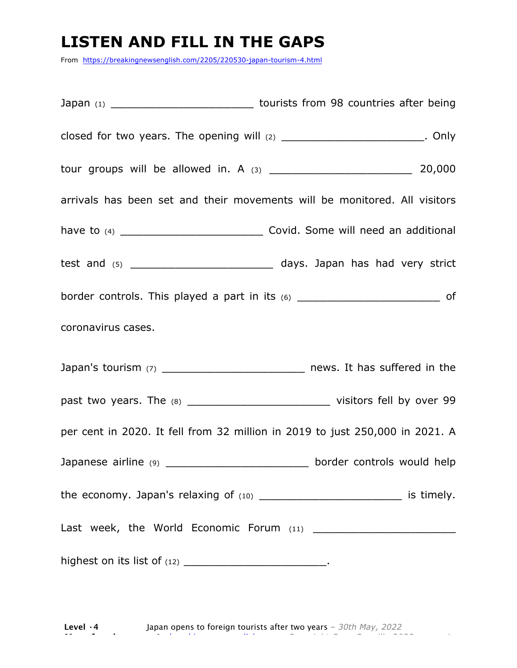### **LISTEN AND FILL IN THE GAPS**

From https://breakingnewsenglish.com/2205/220530-japan-tourism-4.html

Japan (1) Japan (1) Lourists from 98 countries after being closed for two years. The opening will  $(2)$  \_\_\_\_\_\_\_\_\_\_\_\_\_\_\_\_\_\_\_\_\_\_\_\_\_. Only tour groups will be allowed in. A (3) \_\_\_\_\_\_\_\_\_\_\_\_\_\_\_\_\_\_\_ 20,000 arrivals has been set and their movements will be monitored. All visitors have to (4) \_\_\_\_\_\_\_\_\_\_\_\_\_\_\_\_\_\_\_ Covid. Some will need an additional test and (5) \_\_\_\_\_\_\_\_\_\_\_\_\_\_\_\_\_\_\_ days. Japan has had very strict border controls. This played a part in its  $(6)$  \_\_\_\_\_\_\_\_\_\_\_\_\_\_\_\_\_\_\_\_\_\_\_\_\_\_\_\_\_\_ of coronavirus cases. Japan's tourism (7) \_\_\_\_\_\_\_\_\_\_\_\_\_\_\_\_\_\_\_\_\_\_\_\_\_\_\_\_\_\_\_\_ news. It has suffered in the past two years. The (8) \_\_\_\_\_\_\_\_\_\_\_\_\_\_\_\_\_\_\_ visitors fell by over 99 per cent in 2020. It fell from 32 million in 2019 to just 250,000 in 2021. A Japanese airline (9) \_\_\_\_\_\_\_\_\_\_\_\_\_\_\_\_\_\_\_\_\_\_\_\_\_\_\_ border controls would help the economy. Japan's relaxing of (10) \_\_\_\_\_\_\_\_\_\_\_\_\_\_\_\_\_\_\_\_\_\_\_\_\_\_\_\_\_\_\_ is timely. Last week, the World Economic Forum (11) \_\_\_\_\_\_\_\_\_\_\_\_\_\_\_\_\_\_\_ highest on its list of  $(12)$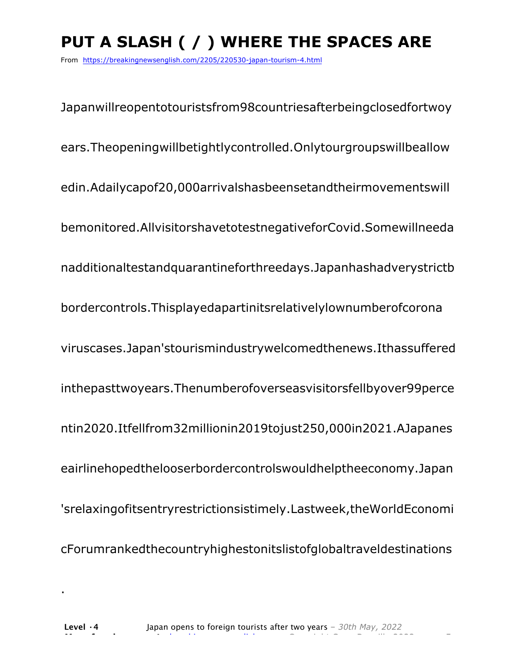# **PUT A SLASH ( / ) WHERE THE SPACES ARE**

From https://breakingnewsenglish.com/2205/220530-japan-tourism-4.html

Japanwillreopentotouristsfrom98countriesafterbeingclosedfortwoy ears.Theopeningwillbetightlycontrolled.Onlytourgroupswillbeallow edin.Adailycapof20,000arrivalshasbeensetandtheirmovementswill bemonitored.AllvisitorshavetotestnegativeforCovid.Somewillneeda nadditionaltestandquarantineforthreedays.Japanhashadverystrictb bordercontrols.Thisplayedapartinitsrelativelylownumberofcorona viruscases.Japan'stourismindustrywelcomedthenews.Ithassuffered inthepasttwoyears.Thenumberofoverseasvisitorsfellbyover99perce ntin2020.Itfellfrom32millionin2019tojust250,000in2021.AJapanes eairlinehopedthelooserbordercontrolswouldhelptheeconomy.Japan 'srelaxingofitsentryrestrictionsistimely.Lastweek,theWorldEconomi cForumrankedthecountryhighestonitslistofglobaltraveldestinations

.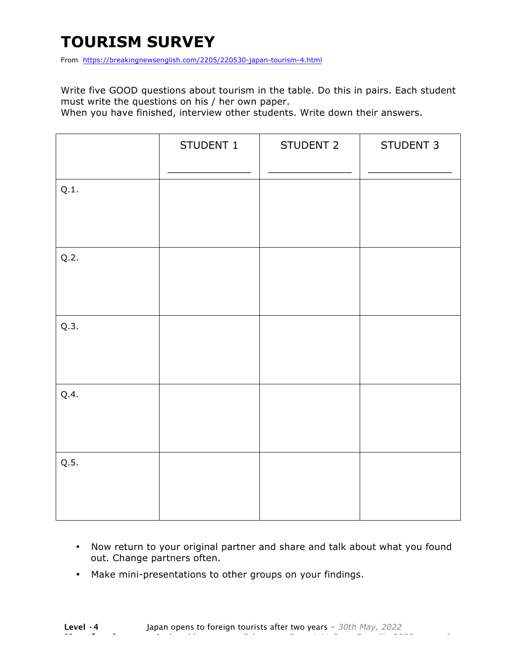## **TOURISM SURVEY**

From https://breakingnewsenglish.com/2205/220530-japan-tourism-4.html

Write five GOOD questions about tourism in the table. Do this in pairs. Each student must write the questions on his / her own paper.

When you have finished, interview other students. Write down their answers.

|      | STUDENT 1 | STUDENT 2 | STUDENT 3 |
|------|-----------|-----------|-----------|
| Q.1. |           |           |           |
| Q.2. |           |           |           |
| Q.3. |           |           |           |
| Q.4. |           |           |           |
| Q.5. |           |           |           |

- Now return to your original partner and share and talk about what you found out. Change partners often.
- Make mini-presentations to other groups on your findings.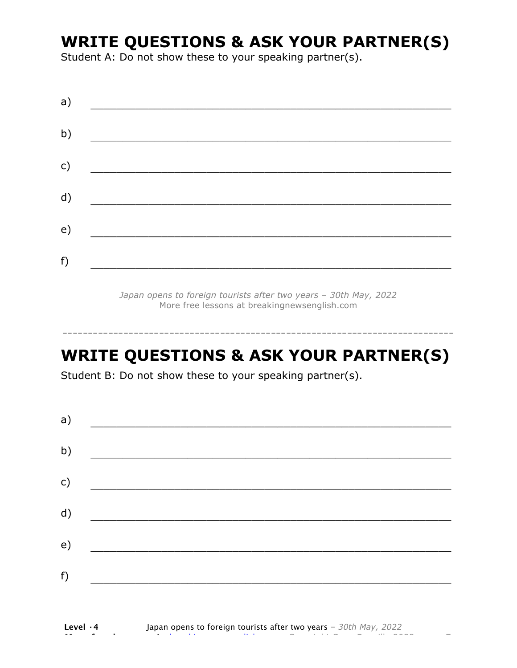### **WRITE QUESTIONS & ASK YOUR PARTNER(S)**

Student A: Do not show these to your speaking partner(s).

| a) |  |  |
|----|--|--|
| b) |  |  |
| c) |  |  |
| d) |  |  |
| e) |  |  |
| f) |  |  |
|    |  |  |

*Japan opens to foreign tourists after two years – 30th May, 2022* More free lessons at breakingnewsenglish.com

### **WRITE QUESTIONS & ASK YOUR PARTNER(S)**

-----------------------------------------------------------------------------

Student B: Do not show these to your speaking partner(s).

| a)            |  |  |
|---------------|--|--|
| b)            |  |  |
| $\mathsf{c})$ |  |  |
| d)            |  |  |
| e)            |  |  |
| f)            |  |  |
|               |  |  |